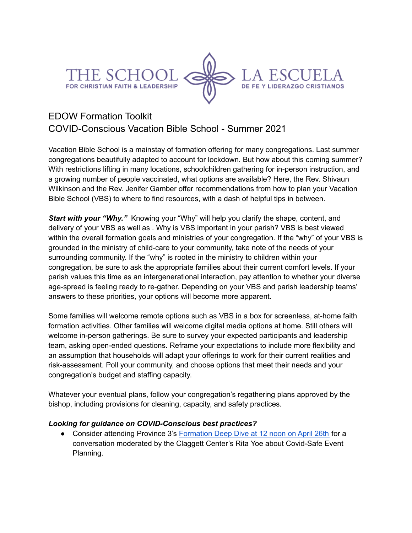



# EDOW Formation Toolkit COVID-Conscious Vacation Bible School - Summer 2021

Vacation Bible School is a mainstay of formation offering for many congregations. Last summer congregations beautifully adapted to account for lockdown. But how about this coming summer? With restrictions lifting in many locations, schoolchildren gathering for in-person instruction, and a growing number of people vaccinated, what options are available? Here, the Rev. Shivaun Wilkinson and the Rev. Jenifer Gamber offer recommendations from how to plan your Vacation Bible School (VBS) to where to find resources, with a dash of helpful tips in between.

**Start with your "Why."** Knowing your "Why" will help you clarify the shape, content, and delivery of your VBS as well as . Why is VBS important in your parish? VBS is best viewed within the overall formation goals and ministries of your congregation. If the "why" of your VBS is grounded in the ministry of child-care to your community, take note of the needs of your surrounding community. If the "why" is rooted in the ministry to children within your congregation, be sure to ask the appropriate families about their current comfort levels. If your parish values this time as an intergenerational interaction, pay attention to whether your diverse age-spread is feeling ready to re-gather. Depending on your VBS and parish leadership teams' answers to these priorities, your options will become more apparent.

Some families will welcome remote options such as VBS in a box for screenless, at-home faith formation activities. Other families will welcome digital media options at home. Still others will welcome in-person gatherings. Be sure to survey your expected participants and leadership team, asking open-ended questions. Reframe your expectations to include more flexibility and an assumption that households will adapt your offerings to work for their current realities and risk-assessment. Poll your community, and choose options that meet their needs and your congregation's budget and staffing capacity.

Whatever your eventual plans, follow your congregation's regathering plans approved by the bishop, including provisions for cleaning, capacity, and safety practices.

## *Looking for guidance on COVID-Conscious best practices?*

● Consider attending Province 3's [Formation](https://www.province3.org/blog/formation-deep-dive-with-rita-yoe-on-covid-safe-event-planning/) Deep Dive at 12 noon on April 26th for a conversation moderated by the Claggett Center's Rita Yoe about Covid-Safe Event Planning.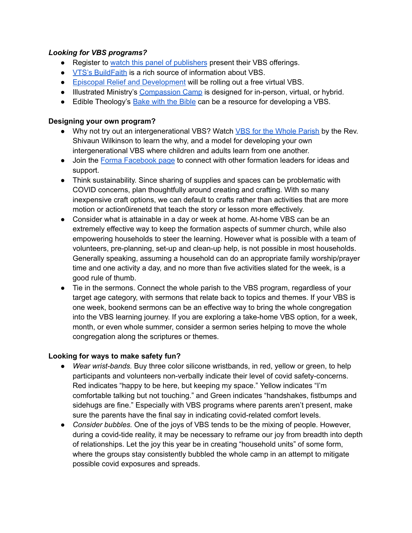## *Looking for VBS programs?*

- Register to watch this panel of [publishers](https://zoom.us/webinar/register/WN_o0pn_doIQRunPqDUwVqRSA?fbclid=IwAR0u1QM6mOmza60-FItM2boWFPPvPwYazuHPRq_xMpxBwTdl_5Z7N1XIuek) present their VBS offerings.
- VTS's [BuildFaith](https://buildfaith.org/category/vbs-vacation-bible-school/) is a rich source of information about VBS.
- Episcopal Relief and [Development](https://www.episcopalrelief.org/church-in-action/christian-formation/) will be rolling out a free virtual VBS.
- Illustrated Ministry's [Compassion](https://www.illustratedministry.com/vbs/) Camp is designed for in-person, virtual, or hybrid.
- Edible Theology's [Bake](https://learn.edibletheology.com/bake-with-the-bible-church?fbclid=IwAR0YF6gVrofUUHE6k2KTXqZk2RONQJFt-7UBSu9RHHCYAyEmASxfebn1NkY) with the Bible can be a resource for developing a VBS.

### **Designing your own program?**

- Why not try out an intergenerational VBS? Watch VBS for the Whole [Parish](https://youtu.be/Z1b5fO92GIc) by the Rev. Shivaun Wilkinson to learn the why, and a model for developing your own intergenerational VBS where children and adults learn from one another.
- Join the Forma [Facebook](https://www.facebook.com/groups/194501327325205) page to connect with other formation leaders for ideas and support.
- Think sustainability. Since sharing of supplies and spaces can be problematic with COVID concerns, plan thoughtfully around creating and crafting. With so many inexpensive craft options, we can default to crafts rather than activities that are more motion or action0irenetd that teach the story or lesson more effectively.
- Consider what is attainable in a day or week at home. At-home VBS can be an extremely effective way to keep the formation aspects of summer church, while also empowering households to steer the learning. However what is possible with a team of volunteers, pre-planning, set-up and clean-up help, is not possible in most households. Generally speaking, assuming a household can do an appropriate family worship/prayer time and one activity a day, and no more than five activities slated for the week, is a good rule of thumb.
- Tie in the sermons. Connect the whole parish to the VBS program, regardless of your target age category, with sermons that relate back to topics and themes. If your VBS is one week, bookend sermons can be an effective way to bring the whole congregation into the VBS learning journey. If you are exploring a take-home VBS option, for a week, month, or even whole summer, consider a sermon series helping to move the whole congregation along the scriptures or themes.

## **Looking for ways to make safety fun?**

- *Wear wrist-bands.* Buy three color silicone wristbands, in red, yellow or green, to help participants and volunteers non-verbally indicate their level of covid safety-concerns. Red indicates "happy to be here, but keeping my space." Yellow indicates "I'm comfortable talking but not touching." and Green indicates "handshakes, fistbumps and sidehugs are fine." Especially with VBS programs where parents aren't present, make sure the parents have the final say in indicating covid-related comfort levels.
- *Consider bubbles.* One of the joys of VBS tends to be the mixing of people. However, during a covid-tide reality, it may be necessary to reframe our joy from breadth into depth of relationships. Let the joy this year be in creating "household units" of some form, where the groups stay consistently bubbled the whole camp in an attempt to mitigate possible covid exposures and spreads.